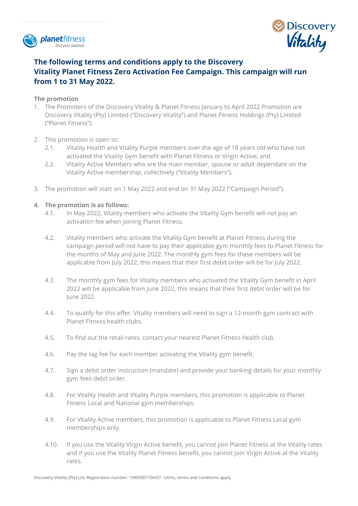



# **The following terms and conditions apply to the Discovery Vitality Planet Fitness Zero Activation Fee Campaign. This campaign will run from 1 to 31 May 2022.**

## **The promotion**

- 1. The Promoters of the Discovery Vitality & Planet Fitness January to April 2022 Promotion are Discovery Vitality (Pty) Limited ("Discovery Vitality") and Planet Fitness Holdings (Pty) Limited ("Planet Fitness").
- 2. This promotion is open to:
	- 2.1. Vitality Health and Vitality Purple members over the age of 18 years old who have not activated the Vitality Gym benefit with Planet Fitness or Virgin Active; and
	- 2.2. Vitality Active Members who are the main member, spouse or adult dependant on the Vitality Active membership, collectively ("Vitality Members").
- 3. The promotion will start on 1 May 2022 and end on 31 May 2022 ("Campaign Period").

## **4. The promotion is as follows:**

- 4.1. In May 2022, Vitality members who activate the Vitality Gym benefit will not pay an activation fee when joining Planet Fitness.
- 4.2. Vitality members who activate the Vitality Gym benefit at Planet Fitness during the campaign period will not have to pay their applicable gym monthly fees to Planet Fitness for the months of May and June 2022. The monthly gym fees for these members will be applicable from July 2022, this means that their first debit order will be for July 2022.
- 4.3. The monthly gym fees for Vitality members who activated the Vitality Gym benefit in April 2022 will be applicable from June 2022, this means that their first debit order will be for June 2022.
- 4.4. To qualify for this offer, Vitality members will need to sign a 12-month gym contract with Planet Fitness health clubs.
- 4.5. To find out the retail rates, contact your nearest Planet Fitness health club.
- 4.6. Pay the tag fee for each member activating the Vitality gym benefit.
- 4.7. Sign a debit order instruction (mandate) and provide your banking details for your monthly gym fees debit order.
- 4.8. For Vitality Health and Vitality Purple members, this promotion is applicable to Planet Fitness Local and National gym memberships.
- 4.9. For Vitality Active members, this promotion is applicable to Planet Fitness Local gym memberships only.
- 4.10. If you use the Vitality Virgin Active benefit, you cannot join Planet Fitness at the Vitality rates and if you use the Vitality Planet Fitness benefit, you cannot join Virgin Active at the Vitality rates.